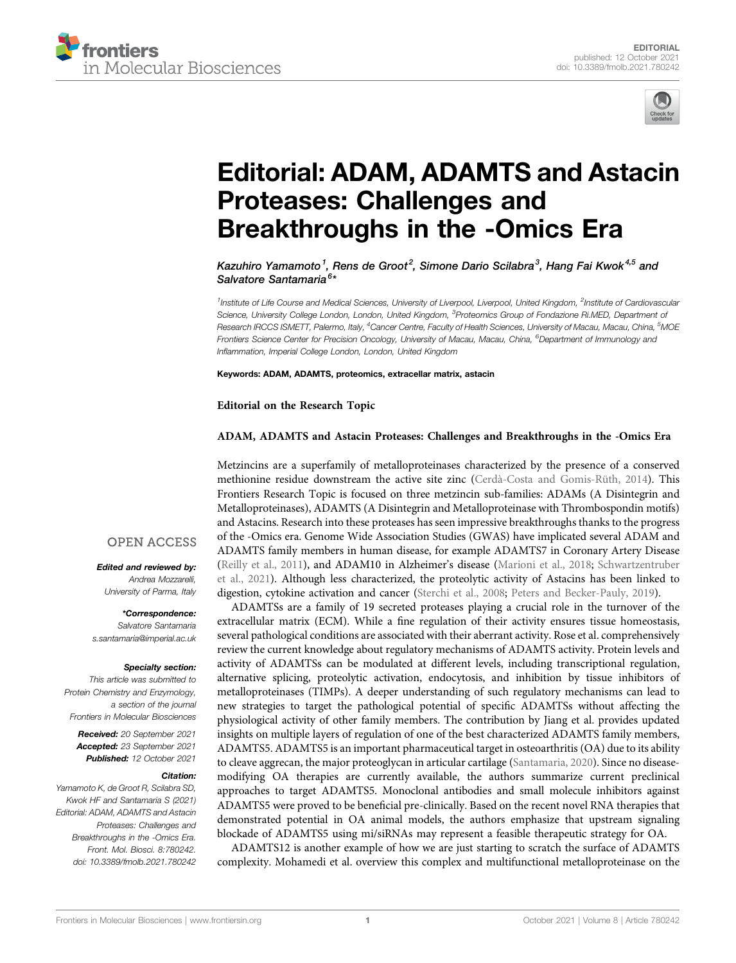



# [Editorial: ADAM, ADAMTS and Astacin](https://www.frontiersin.org/articles/10.3389/fmolb.2021.780242/full) [Proteases: Challenges and](https://www.frontiersin.org/articles/10.3389/fmolb.2021.780242/full) [Breakthroughs in the -Omics Era](https://www.frontiersin.org/articles/10.3389/fmolb.2021.780242/full)

Kazuhiro Yamamoto<sup>1</sup>, Rens de Groot<sup>2</sup>, Simone Dario Scilabra<sup>3</sup>, Hang Fai Kwok<sup>4,5</sup> and Salvatore Santamaria<sup>6</sup>\*

<sup>1</sup>Institute of Life Course and Medical Sciences, University of Liverpool, Liverpool, United Kingdom, <sup>2</sup>Institute of Cardiovascular Science, University College London, London, United Kingdom, <sup>3</sup>Proteomics Group of Fondazione Ri.MED, Department o*f* Research IRCCS ISMETT, Palermo, Italy, <sup>4</sup>Cancer Centre, Faculty of Health Sciences, University of Macau, Macau, China, <sup>5</sup>MOE Frontiers Science Center for Precision Oncology, University of Macau, Macau, China, <sup>6</sup>Department of Immunology and Inflammation, Imperial College London, London, United Kingdom

Keywords: ADAM, ADAMTS, proteomics, extracellar matrix, astacin

Editorial on the Research Topic

### [ADAM, ADAMTS and Astacin Proteases: Challenges and Breakthroughs in the -Omics Era](https://www.frontiersin.org/researchtopic/14533)

Metzincins are a superfamily of metalloproteinases characterized by the presence of a conserved methionine residue downstream the active site zinc [\(Cerdà-Costa and Gomis-Rüth, 2014](#page-2-0)). This Frontiers Research Topic is focused on three metzincin sub-families: ADAMs (A Disintegrin and Metalloproteinases), ADAMTS (A Disintegrin and Metalloproteinase with Thrombospondin motifs) and Astacins. Research into these proteases has seen impressive breakthroughs thanks to the progress of the -Omics era. Genome Wide Association Studies (GWAS) have implicated several ADAM and ADAMTS family members in human disease, for example ADAMTS7 in Coronary Artery Disease ([Reilly et al., 2011](#page-2-1)), and ADAM10 in Alzheimer's disease ([Marioni et al., 2018](#page-2-2); [Schwartzentruber](#page-2-3) [et al., 2021\)](#page-2-3). Although less characterized, the proteolytic activity of Astacins has been linked to digestion, cytokine activation and cancer ([Sterchi et al., 2008](#page-2-4); [Peters and Becker-Pauly, 2019\)](#page-2-5).

ADAMTSs are a family of 19 secreted proteases playing a crucial role in the turnover of the extracellular matrix (ECM). While a fine regulation of their activity ensures tissue homeostasis, several pathological conditions are associated with their aberrant activity. [Rose et al.](https://doi.org/10.3389/fmolb.2021.701959%20) comprehensively review the current knowledge about regulatory mechanisms of ADAMTS activity. Protein levels and activity of ADAMTSs can be modulated at different levels, including transcriptional regulation, alternative splicing, proteolytic activation, endocytosis, and inhibition by tissue inhibitors of metalloproteinases (TIMPs). A deeper understanding of such regulatory mechanisms can lead to new strategies to target the pathological potential of specific ADAMTSs without affecting the physiological activity of other family members. The contribution by [Jiang et al.](https://doi.org/10.3389/fmolb.2021.703110%20) provides updated insights on multiple layers of regulation of one of the best characterized ADAMTS family members, ADAMTS5. ADAMTS5 is an important pharmaceutical target in osteoarthritis (OA) due to its ability to cleave aggrecan, the major proteoglycan in articular cartilage [\(Santamaria, 2020\)](#page-2-6). Since no diseasemodifying OA therapies are currently available, the authors summarize current preclinical approaches to target ADAMTS5. Monoclonal antibodies and small molecule inhibitors against ADAMTS5 were proved to be beneficial pre-clinically. Based on the recent novel RNA therapies that demonstrated potential in OA animal models, the authors emphasize that upstream signaling blockade of ADAMTS5 using mi/siRNAs may represent a feasible therapeutic strategy for OA.

ADAMTS12 is another example of how we are just starting to scratch the surface of ADAMTS complexity. [Mohamedi et al.](https://doi.org/10.3389/fmolb.2021.686763) overview this complex and multifunctional metalloproteinase on the

## **OPEN ACCESS**

Edited and reviewed by: Andrea Mozzarelli, University of Parma, Italy

\*Correspondence: Salvatore Santamaria [s.santamaria@imperial.ac.uk](mailto:s.santamaria@imperial.ac.uk)

## Specialty section:

This article was submitted to Protein Chemistry and Enzymology, a section of the journal Frontiers in Molecular Biosciences

Received: 20 September 2021 Accepted: 23 September 2021 Published: 12 October 2021

#### Citation:

Yamamoto K, de Groot R, Scilabra SD, Kwok HF and Santamaria S (2021) Editorial: ADAM, ADAMTS and Astacin Proteases: Challenges and Breakthroughs in the -Omics Era. Front. Mol. Biosci. 8:780242. doi: [10.3389/fmolb.2021.780242](https://doi.org/10.3389/fmolb.2021.780242)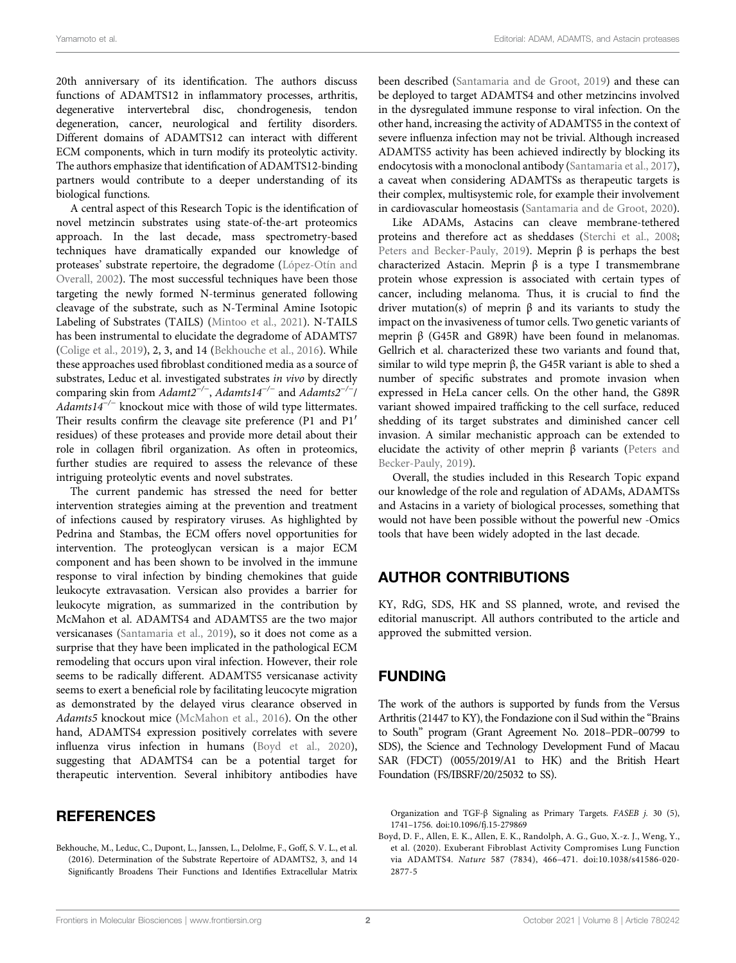20th anniversary of its identification. The authors discuss functions of ADAMTS12 in inflammatory processes, arthritis, degenerative intervertebral disc, chondrogenesis, tendon degeneration, cancer, neurological and fertility disorders. Different domains of ADAMTS12 can interact with different ECM components, which in turn modify its proteolytic activity. The authors emphasize that identification of ADAMTS12-binding partners would contribute to a deeper understanding of its biological functions.

A central aspect of this Research Topic is the identification of novel metzincin substrates using state-of-the-art proteomics approach. In the last decade, mass spectrometry-based techniques have dramatically expanded our knowledge of proteases' substrate repertoire, the degradome [\(López-Otín and](#page-2-7) [Overall, 2002](#page-2-7)). The most successful techniques have been those targeting the newly formed N-terminus generated following cleavage of the substrate, such as N-Terminal Amine Isotopic Labeling of Substrates (TAILS) [\(Mintoo et al., 2021](#page-2-8)). N-TAILS has been instrumental to elucidate the degradome of ADAMTS7 ([Colige et al., 2019\)](#page-2-9), 2, 3, and 14 [\(Bekhouche et al., 2016](#page-1-0)). While these approaches used fibroblast conditioned media as a source of substrates, [Leduc et al.](https://doi.org/10.3389/fmolb.2021.643178%20) investigated substrates in vivo by directly comparing skin from  $Adam2^{-/-}$ ,  $Adamts14^{-/-}$  and  $Adamts2^{-/-}$ Adamts14<sup>-/-</sup> knockout mice with those of wild type littermates. Their results confirm the cleavage site preference (P1 and P1′ residues) of these proteases and provide more detail about their role in collagen fibril organization. As often in proteomics, further studies are required to assess the relevance of these intriguing proteolytic events and novel substrates.

The current pandemic has stressed the need for better intervention strategies aiming at the prevention and treatment of infections caused by respiratory viruses. As highlighted by [Pedrina and Stambas](https://doi.org/10.3389/fmolb.2021.703456%20), the ECM offers novel opportunities for intervention. The proteoglycan versican is a major ECM component and has been shown to be involved in the immune response to viral infection by binding chemokines that guide leukocyte extravasation. Versican also provides a barrier for leukocyte migration, as summarized in the contribution by [McMahon et al.](https://doi.org/10.3389/fmolb.2021.703868) ADAMTS4 and ADAMTS5 are the two major versicanases ([Santamaria et al., 2019\)](#page-2-10), so it does not come as a surprise that they have been implicated in the pathological ECM remodeling that occurs upon viral infection. However, their role seems to be radically different. ADAMTS5 versicanase activity seems to exert a beneficial role by facilitating leucocyte migration as demonstrated by the delayed virus clearance observed in Adamts5 knockout mice [\(McMahon et al., 2016](#page-2-11)). On the other hand, ADAMTS4 expression positively correlates with severe influenza virus infection in humans ([Boyd et al., 2020\)](#page-1-1), suggesting that ADAMTS4 can be a potential target for therapeutic intervention. Several inhibitory antibodies have

# **REFERENCES**

<span id="page-1-0"></span>Bekhouche, M., Leduc, C., Dupont, L., Janssen, L., Delolme, F., Goff, S. V. L., et al. (2016). Determination of the Substrate Repertoire of ADAMTS2, 3, and 14 Significantly Broadens Their Functions and Identifies Extracellular Matrix been described [\(Santamaria and de Groot, 2019](#page-2-12)) and these can be deployed to target ADAMTS4 and other metzincins involved in the dysregulated immune response to viral infection. On the other hand, increasing the activity of ADAMTS5 in the context of severe influenza infection may not be trivial. Although increased ADAMTS5 activity has been achieved indirectly by blocking its endocytosis with a monoclonal antibody [\(Santamaria et al., 2017\)](#page-2-13), a caveat when considering ADAMTSs as therapeutic targets is their complex, multisystemic role, for example their involvement in cardiovascular homeostasis [\(Santamaria and de Groot, 2020\)](#page-2-14).

Like ADAMs, Astacins can cleave membrane-tethered proteins and therefore act as sheddases [\(Sterchi et al., 2008;](#page-2-4) [Peters and Becker-Pauly, 2019](#page-2-5)). Meprin  $β$  is perhaps the best characterized Astacin. Meprin β is a type I transmembrane protein whose expression is associated with certain types of cancer, including melanoma. Thus, it is crucial to find the driver mutation(s) of meprin β and its variants to study the impact on the invasiveness of tumor cells. Two genetic variants of meprin β (G45R and G89R) have been found in melanomas. [Gellrich et al.](https://www.frontiersin.org/articles/10.3389/fmolb.2021.702341/abstract) characterized these two variants and found that, similar to wild type meprin β, the G45R variant is able to shed a number of specific substrates and promote invasion when expressed in HeLa cancer cells. On the other hand, the G89R variant showed impaired trafficking to the cell surface, reduced shedding of its target substrates and diminished cancer cell invasion. A similar mechanistic approach can be extended to elucidate the activity of other meprin  $\beta$  variants [\(Peters and](#page-2-5) [Becker-Pauly, 2019](#page-2-5)).

Overall, the studies included in this Research Topic expand our knowledge of the role and regulation of ADAMs, ADAMTSs and Astacins in a variety of biological processes, something that would not have been possible without the powerful new -Omics tools that have been widely adopted in the last decade.

# AUTHOR CONTRIBUTIONS

KY, RdG, SDS, HK and SS planned, wrote, and revised the editorial manuscript. All authors contributed to the article and approved the submitted version.

# FUNDING

The work of the authors is supported by funds from the Versus Arthritis (21447 to KY), the Fondazione con il Sud within the "Brains to South" program (Grant Agreement No. 2018–PDR–00799 to SDS), the Science and Technology Development Fund of Macau SAR (FDCT) (0055/2019/A1 to HK) and the British Heart Foundation (FS/IBSRF/20/25032 to SS).

Organization and TGF-β Signaling as Primary Targets. FASEB j. 30 (5), 1741–1756. doi:[10.1096/fj.15-279869](https://doi.org/10.1096/fj.15-279869)

<span id="page-1-1"></span>Boyd, D. F., Allen, E. K., Allen, E. K., Randolph, A. G., Guo, X.-z. J., Weng, Y., et al. (2020). Exuberant Fibroblast Activity Compromises Lung Function via ADAMTS4. Nature 587 (7834), 466–471. doi:[10.1038/s41586-020-](https://doi.org/10.1038/s41586-020-2877-5) [2877-5](https://doi.org/10.1038/s41586-020-2877-5)